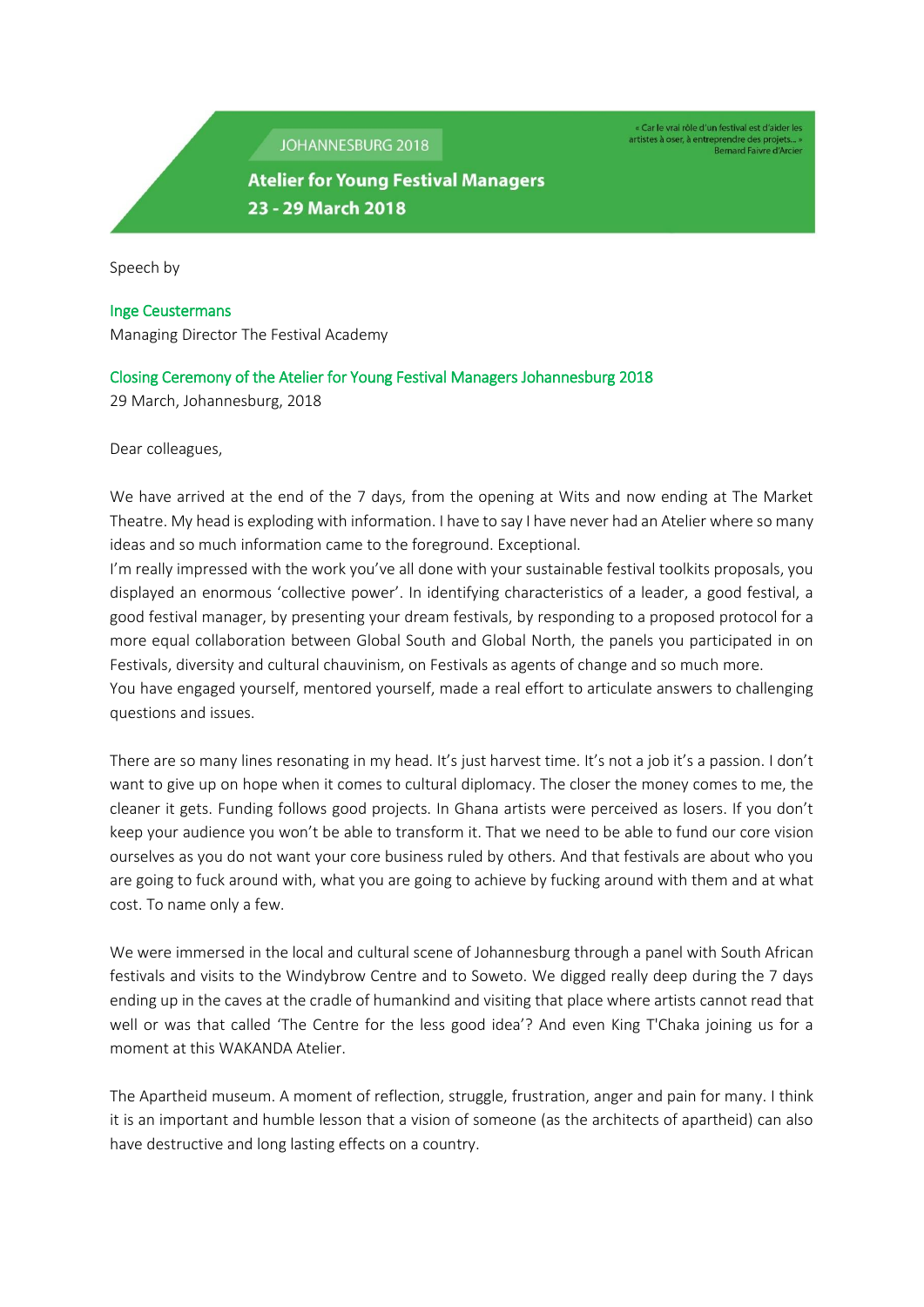JOHANNESBURG 2018

« Car le vrai rôle d'un festival est d'aider les artistes à oser, à entreprendre des projets... »<br>Bernard Faivre d'Arcier

## **Atelier for Young Festival Managers** 23 - 29 March 2018

Speech by

## Inge Ceustermans

Managing Director The Festival Academy

## Closing Ceremony of the Atelier for Young Festival Managers Johannesburg 2018

29 March, Johannesburg, 2018

Dear colleagues,

We have arrived at the end of the 7 days, from the opening at Wits and now ending at The Market Theatre. My head is exploding with information. I have to say I have never had an Atelier where so many ideas and so much information came to the foreground. Exceptional.

I'm really impressed with the work you've all done with your sustainable festival toolkits proposals, you displayed an enormous 'collective power'. In identifying characteristics of a leader, a good festival, a good festival manager, by presenting your dream festivals, by responding to a proposed protocol for a more equal collaboration between Global South and Global North, the panels you participated in on Festivals, diversity and cultural chauvinism, on Festivals as agents of change and so much more.

You have engaged yourself, mentored yourself, made a real effort to articulate answers to challenging questions and issues.

There are so many lines resonating in my head. It's just harvest time. It's not a job it's a passion. I don't want to give up on hope when it comes to cultural diplomacy. The closer the money comes to me, the cleaner it gets. Funding follows good projects. In Ghana artists were perceived as losers. If you don't keep your audience you won't be able to transform it. That we need to be able to fund our core vision ourselves as you do not want your core business ruled by others. And that festivals are about who you are going to fuck around with, what you are going to achieve by fucking around with them and at what cost. To name only a few.

We were immersed in the local and cultural scene of Johannesburg through a panel with South African festivals and visits to the Windybrow Centre and to Soweto. We digged really deep during the 7 days ending up in the caves at the cradle of humankind and visiting that place where artists cannot read that well or was that called 'The Centre for the less good idea'? And even King T'Chaka joining us for a moment at this WAKANDA Atelier.

The Apartheid museum. A moment of reflection, struggle, frustration, anger and pain for many. I think it is an important and humble lesson that a vision of someone (as the architects of apartheid) can also have destructive and long lasting effects on a country.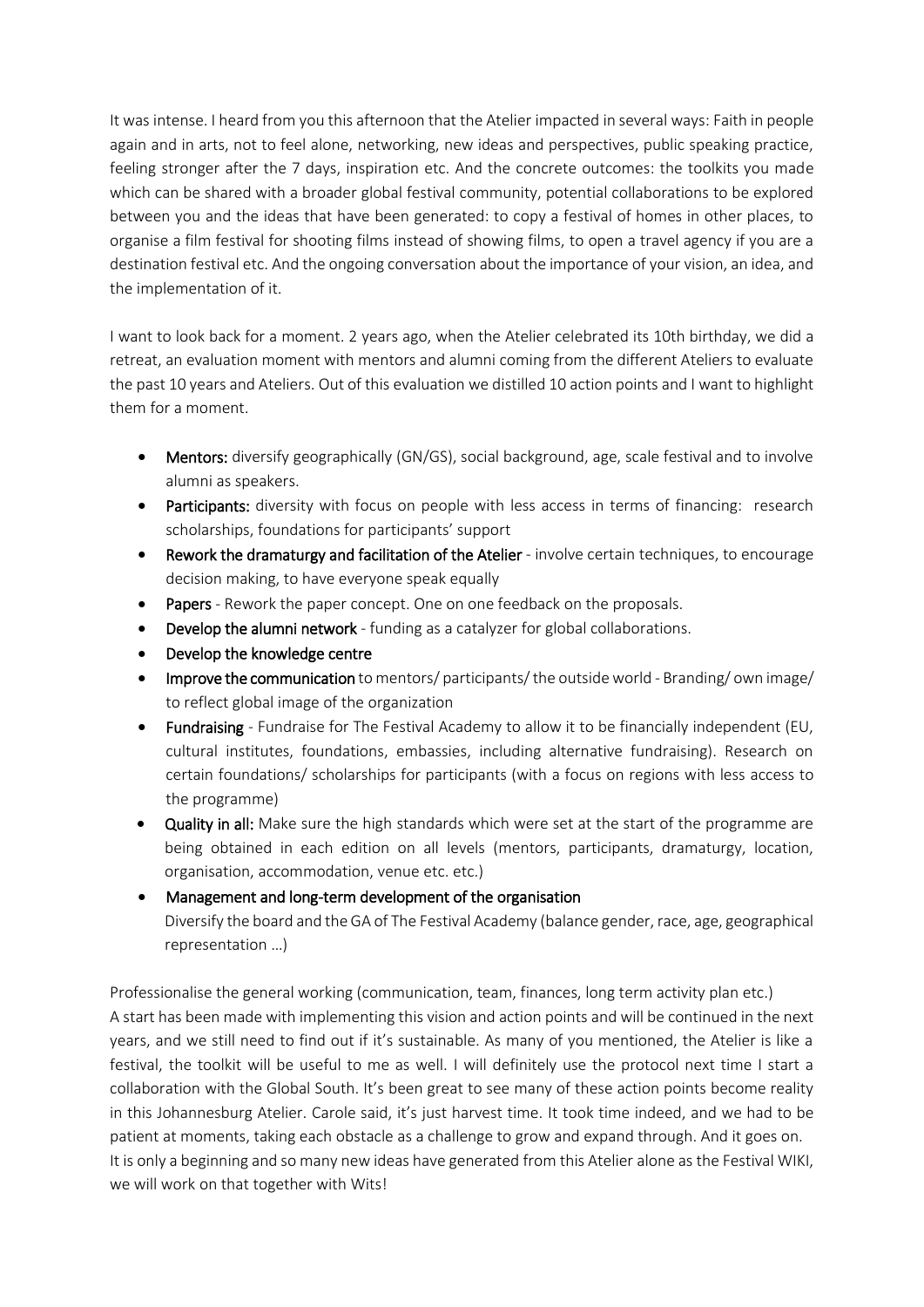It was intense. I heard from you this afternoon that the Atelier impacted in several ways: Faith in people again and in arts, not to feel alone, networking, new ideas and perspectives, public speaking practice, feeling stronger after the 7 days, inspiration etc. And the concrete outcomes: the toolkits you made which can be shared with a broader global festival community, potential collaborations to be explored between you and the ideas that have been generated: to copy a festival of homes in other places, to organise a film festival for shooting films instead of showing films, to open a travel agency if you are a destination festival etc. And the ongoing conversation about the importance of your vision, an idea, and the implementation of it.

I want to look back for a moment. 2 years ago, when the Atelier celebrated its 10th birthday, we did a retreat, an evaluation moment with mentors and alumni coming from the different Ateliers to evaluate the past 10 years and Ateliers. Out of this evaluation we distilled 10 action points and I want to highlight them for a moment.

- Mentors: diversify geographically (GN/GS), social background, age, scale festival and to involve alumni as speakers.
- Participants: diversity with focus on people with less access in terms of financing: research scholarships, foundations for participants' support
- Rework the dramaturgy and facilitation of the Atelier involve certain techniques, to encourage decision making, to have everyone speak equally
- Papers Rework the paper concept. One on one feedback on the proposals.
- Develop the alumni network funding as a catalyzer for global collaborations.
- Develop the knowledge centre
- Improve the communication to mentors/ participants/ the outside world Branding/own image/ to reflect global image of the organization
- Fundraising Fundraise for The Festival Academy to allow it to be financially independent (EU, cultural institutes, foundations, embassies, including alternative fundraising). Research on certain foundations/ scholarships for participants (with a focus on regions with less access to the programme)
- Quality in all: Make sure the high standards which were set at the start of the programme are being obtained in each edition on all levels (mentors, participants, dramaturgy, location, organisation, accommodation, venue etc. etc.)

## Management and long-term development of the organisation

Diversify the board and the GA of The Festival Academy (balance gender, race, age, geographical representation …)

Professionalise the general working (communication, team, finances, long term activity plan etc.) A start has been made with implementing this vision and action points and will be continued in the next years, and we still need to find out if it's sustainable. As many of you mentioned, the Atelier is like a festival, the toolkit will be useful to me as well. I will definitely use the protocol next time I start a collaboration with the Global South. It's been great to see many of these action points become reality in this Johannesburg Atelier. Carole said, it's just harvest time. It took time indeed, and we had to be patient at moments, taking each obstacle as a challenge to grow and expand through. And it goes on. It is only a beginning and so many new ideas have generated from this Atelier alone as the Festival WIKI, we will work on that together with Wits!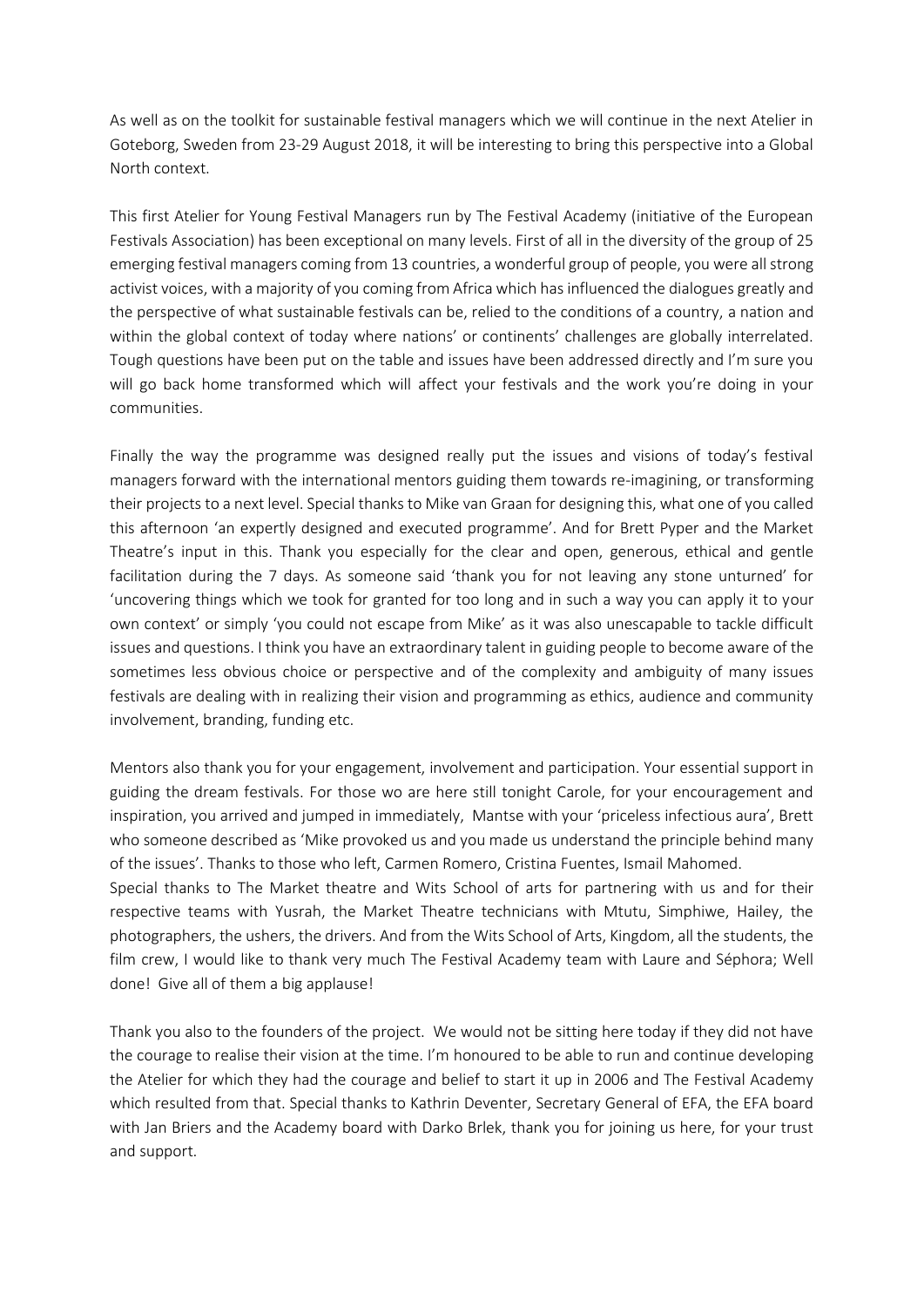As well as on the toolkit for sustainable festival managers which we will continue in the next Atelier in Goteborg, Sweden from 23-29 August 2018, it will be interesting to bring this perspective into a Global North context.

This first Atelier for Young Festival Managers run by The Festival Academy (initiative of the European Festivals Association) has been exceptional on many levels. First of all in the diversity of the group of 25 emerging festival managers coming from 13 countries, a wonderful group of people, you were all strong activist voices, with a majority of you coming from Africa which has influenced the dialogues greatly and the perspective of what sustainable festivals can be, relied to the conditions of a country, a nation and within the global context of today where nations' or continents' challenges are globally interrelated. Tough questions have been put on the table and issues have been addressed directly and I'm sure you will go back home transformed which will affect your festivals and the work you're doing in your communities.

Finally the way the programme was designed really put the issues and visions of today's festival managers forward with the international mentors guiding them towards re-imagining, or transforming their projects to a next level. Special thanks to Mike van Graan for designing this, what one of you called this afternoon 'an expertly designed and executed programme'. And for Brett Pyper and the Market Theatre's input in this. Thank you especially for the clear and open, generous, ethical and gentle facilitation during the 7 days. As someone said 'thank you for not leaving any stone unturned' for 'uncovering things which we took for granted for too long and in such a way you can apply it to your own context' or simply 'you could not escape from Mike' as it was also unescapable to tackle difficult issues and questions. I think you have an extraordinary talent in guiding people to become aware of the sometimes less obvious choice or perspective and of the complexity and ambiguity of many issues festivals are dealing with in realizing their vision and programming as ethics, audience and community involvement, branding, funding etc.

Mentors also thank you for your engagement, involvement and participation. Your essential support in guiding the dream festivals. For those wo are here still tonight Carole, for your encouragement and inspiration, you arrived and jumped in immediately, Mantse with your 'priceless infectious aura', Brett who someone described as 'Mike provoked us and you made us understand the principle behind many of the issues'. Thanks to those who left, Carmen Romero, Cristina Fuentes, Ismail Mahomed.

Special thanks to The Market theatre and Wits School of arts for partnering with us and for their respective teams with Yusrah, the Market Theatre technicians with Mtutu, Simphiwe, Hailey, the photographers, the ushers, the drivers. And from the Wits School of Arts, Kingdom, all the students, the film crew, I would like to thank very much The Festival Academy team with Laure and Séphora; Well done! Give all of them a big applause!

Thank you also to the founders of the project. We would not be sitting here today if they did not have the courage to realise their vision at the time. I'm honoured to be able to run and continue developing the Atelier for which they had the courage and belief to start it up in 2006 and The Festival Academy which resulted from that. Special thanks to Kathrin Deventer, Secretary General of EFA, the EFA board with Jan Briers and the Academy board with Darko Brlek, thank you for joining us here, for your trust and support.